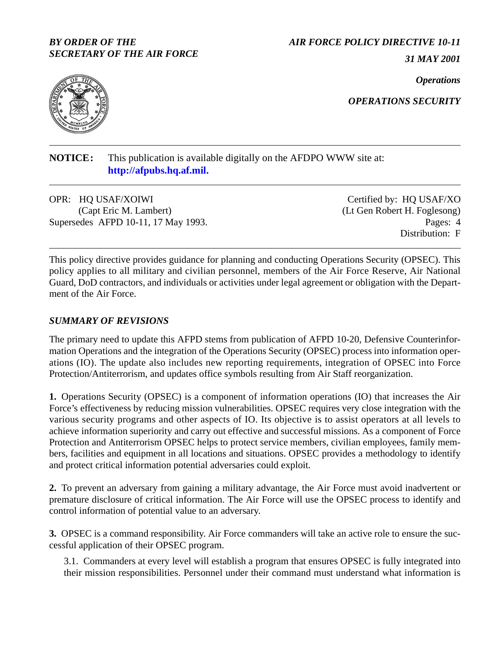#### *BY ORDER OF THE SECRETARY OF THE AIR FORCE*

#### *AIR FORCE POLICY DIRECTIVE 10-11*

*31 MAY 2001*

*Operations*



*OPERATIONS SECURITY*

# **NOTICE:** This publication is available digitally on the AFDPO WWW site at: **http://afpubs.hq.af.mil.**

OPR: HQ USAF/XOIWI (Capt Eric M. Lambert) Supersedes AFPD 10-11, 17 May 1993. Pages: 4

Certified by: HQ USAF/XO (Lt Gen Robert H. Foglesong) Distribution: F

This policy directive provides guidance for planning and conducting Operations Security (OPSEC). This policy applies to all military and civilian personnel, members of the Air Force Reserve, Air National Guard, DoD contractors, and individuals or activities under legal agreement or obligation with the Department of the Air Force.

### *SUMMARY OF REVISIONS*

The primary need to update this AFPD stems from publication of AFPD 10-20, Defensive Counterinformation Operations and the integration of the Operations Security (OPSEC) process into information operations (IO). The update also includes new reporting requirements, integration of OPSEC into Force Protection/Antiterrorism, and updates office symbols resulting from Air Staff reorganization.

**1.** Operations Security (OPSEC) is a component of information operations (IO) that increases the Air Force's effectiveness by reducing mission vulnerabilities. OPSEC requires very close integration with the various security programs and other aspects of IO. Its objective is to assist operators at all levels to achieve information superiority and carry out effective and successful missions. As a component of Force Protection and Antiterrorism OPSEC helps to protect service members, civilian employees, family members, facilities and equipment in all locations and situations. OPSEC provides a methodology to identify and protect critical information potential adversaries could exploit.

**2.** To prevent an adversary from gaining a military advantage, the Air Force must avoid inadvertent or premature disclosure of critical information. The Air Force will use the OPSEC process to identify and control information of potential value to an adversary.

**3.** OPSEC is a command responsibility. Air Force commanders will take an active role to ensure the successful application of their OPSEC program.

3.1. Commanders at every level will establish a program that ensures OPSEC is fully integrated into their mission responsibilities. Personnel under their command must understand what information is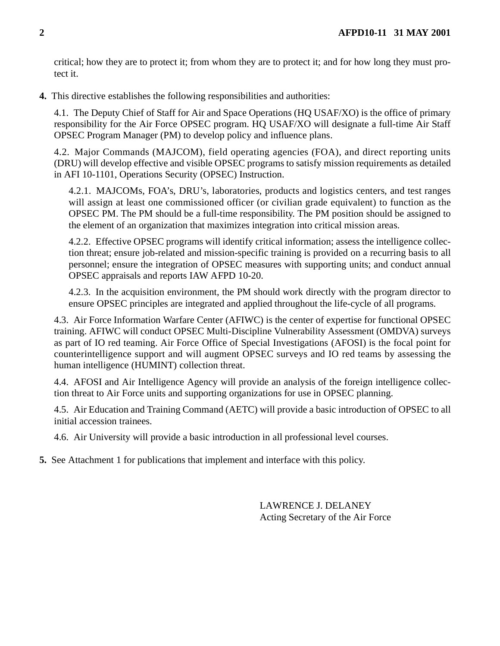critical; how they are to protect it; from whom they are to protect it; and for how long they must protect it.

**4.** This directive establishes the following responsibilities and authorities:

4.1. The Deputy Chief of Staff for Air and Space Operations (HQ USAF/XO) is the office of primary responsibility for the Air Force OPSEC program. HO USAF/XO will designate a full-time Air Staff OPSEC Program Manager (PM) to develop policy and influence plans.

4.2. Major Commands (MAJCOM), field operating agencies (FOA), and direct reporting units (DRU) will develop effective and visible OPSEC programs to satisfy mission requirements as detailed in AFI 10-1101, Operations Security (OPSEC) Instruction.

4.2.1. MAJCOMs, FOA's, DRU's, laboratories, products and logistics centers, and test ranges will assign at least one commissioned officer (or civilian grade equivalent) to function as the OPSEC PM. The PM should be a full-time responsibility. The PM position should be assigned to the element of an organization that maximizes integration into critical mission areas.

4.2.2. Effective OPSEC programs will identify critical information; assess the intelligence collection threat; ensure job-related and mission-specific training is provided on a recurring basis to all personnel; ensure the integration of OPSEC measures with supporting units; and conduct annual OPSEC appraisals and reports IAW AFPD 10-20.

4.2.3. In the acquisition environment, the PM should work directly with the program director to ensure OPSEC principles are integrated and applied throughout the life-cycle of all programs.

4.3. Air Force Information Warfare Center (AFIWC) is the center of expertise for functional OPSEC training. AFIWC will conduct OPSEC Multi-Discipline Vulnerability Assessment (OMDVA) surveys as part of IO red teaming. Air Force Office of Special Investigations (AFOSI) is the focal point for counterintelligence support and will augment OPSEC surveys and IO red teams by assessing the human intelligence (HUMINT) collection threat.

4.4. AFOSI and Air Intelligence Agency will provide an analysis of the foreign intelligence collection threat to Air Force units and supporting organizations for use in OPSEC planning.

4.5. Air Education and Training Command (AETC) will provide a basic introduction of OPSEC to all initial accession trainees.

4.6. Air University will provide a basic introduction in all professional level courses.

**5.** See Attachment 1 for publications that implement and interface with this policy.

LAWRENCE J. DELANEY Acting Secretary of the Air Force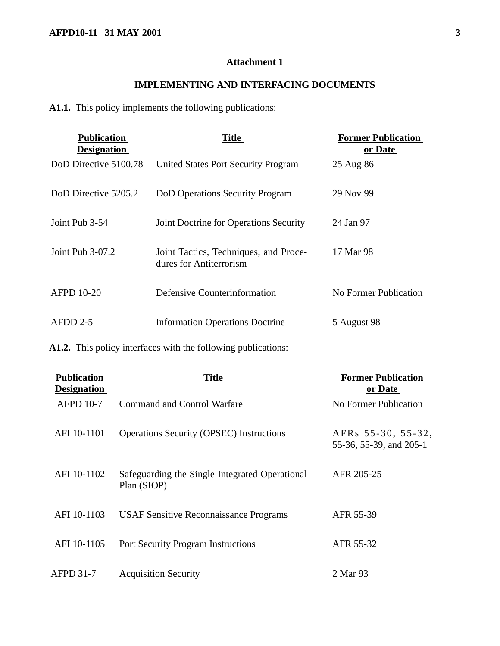# **Attachment 1**

### **IMPLEMENTING AND INTERFACING DOCUMENTS**

**A1.1.** This policy implements the following publications:

| <b>Publication</b><br><b>Designation</b> | Title                                                            | <b>Former Publication</b><br>or Date |
|------------------------------------------|------------------------------------------------------------------|--------------------------------------|
| DoD Directive 5100.78                    | United States Port Security Program                              | 25 Aug 86                            |
| DoD Directive 5205.2                     | DoD Operations Security Program                                  | 29 Nov 99                            |
| Joint Pub 3-54                           | Joint Doctrine for Operations Security                           | 24 Jan 97                            |
| Joint Pub $3-07.2$                       | Joint Tactics, Techniques, and Proce-<br>dures for Antiterrorism | 17 Mar 98                            |
| <b>AFPD 10-20</b>                        | Defensive Counterinformation                                     | No Former Publication                |
| $AFDD$ 2-5                               | <b>Information Operations Doctrine</b>                           | 5 August 98                          |

**A1.2.** This policy interfaces with the following publications:

| <b>Publication</b><br><b>Designation</b> | <b>Title</b>                                                  | <b>Former Publication</b><br>or Date          |
|------------------------------------------|---------------------------------------------------------------|-----------------------------------------------|
| <b>AFPD 10-7</b>                         | <b>Command and Control Warfare</b>                            | No Former Publication                         |
| AFI 10-1101                              | <b>Operations Security (OPSEC)</b> Instructions               | AFRs 55-30, 55-32,<br>55-36, 55-39, and 205-1 |
| AFI 10-1102                              | Safeguarding the Single Integrated Operational<br>Plan (SIOP) | AFR 205-25                                    |
| AFI 10-1103                              | <b>USAF Sensitive Reconnaissance Programs</b>                 | AFR 55-39                                     |
| AFI 10-1105                              | <b>Port Security Program Instructions</b>                     | AFR 55-32                                     |
| AFPD 31-7                                | <b>Acquisition Security</b>                                   | 2 Mar 93                                      |